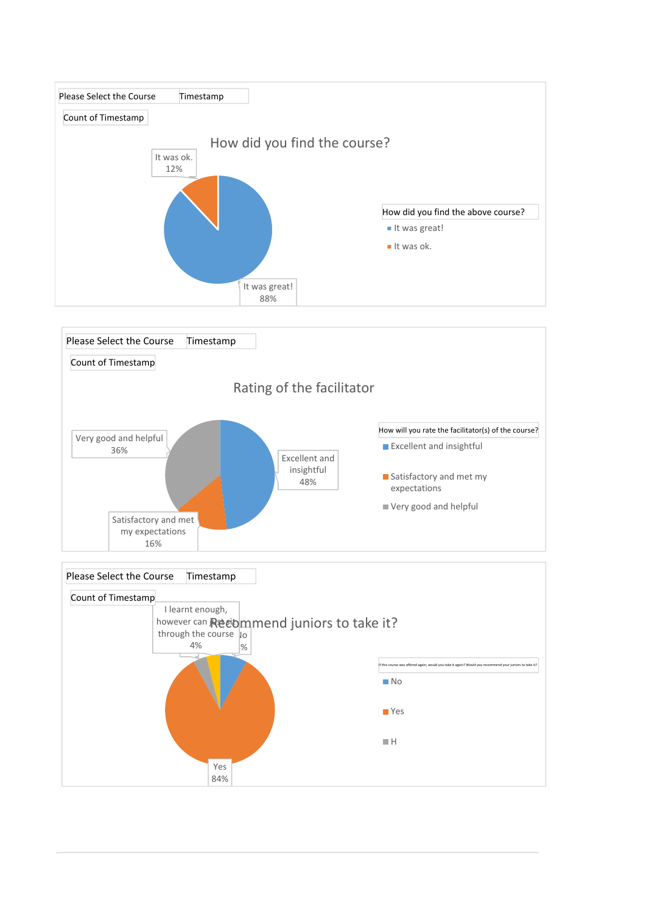



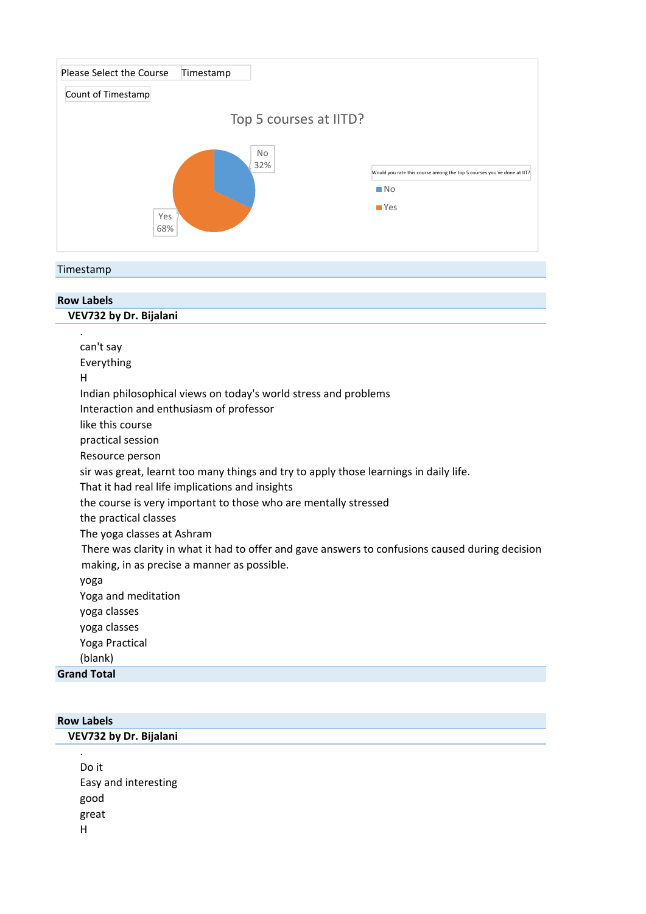

## Timestamp

| <b>Row Labels</b>                                                                               |  |  |  |  |  |  |
|-------------------------------------------------------------------------------------------------|--|--|--|--|--|--|
| VEV732 by Dr. Bijalani                                                                          |  |  |  |  |  |  |
|                                                                                                 |  |  |  |  |  |  |
| can't say                                                                                       |  |  |  |  |  |  |
| Everything                                                                                      |  |  |  |  |  |  |
| н                                                                                               |  |  |  |  |  |  |
| Indian philosophical views on today's world stress and problems                                 |  |  |  |  |  |  |
| Interaction and enthusiasm of professor                                                         |  |  |  |  |  |  |
| like this course                                                                                |  |  |  |  |  |  |
| practical session                                                                               |  |  |  |  |  |  |
| Resource person                                                                                 |  |  |  |  |  |  |
| sir was great, learnt too many things and try to apply those learnings in daily life.           |  |  |  |  |  |  |
| That it had real life implications and insights                                                 |  |  |  |  |  |  |
| the course is very important to those who are mentally stressed                                 |  |  |  |  |  |  |
| the practical classes                                                                           |  |  |  |  |  |  |
| The yoga classes at Ashram                                                                      |  |  |  |  |  |  |
| There was clarity in what it had to offer and gave answers to confusions caused during decision |  |  |  |  |  |  |
| making, in as precise a manner as possible.                                                     |  |  |  |  |  |  |
| yoga                                                                                            |  |  |  |  |  |  |
| Yoga and meditation                                                                             |  |  |  |  |  |  |
| yoga classes                                                                                    |  |  |  |  |  |  |
| yoga classes                                                                                    |  |  |  |  |  |  |
| Yoga Practical                                                                                  |  |  |  |  |  |  |
| (blank)                                                                                         |  |  |  |  |  |  |
| <b>Grand Total</b>                                                                              |  |  |  |  |  |  |
|                                                                                                 |  |  |  |  |  |  |

| <b>Row Labels</b> |                        |  |  |  |  |  |
|-------------------|------------------------|--|--|--|--|--|
|                   | VEV732 by Dr. Bijalani |  |  |  |  |  |
|                   | $\bullet$              |  |  |  |  |  |
|                   | Do it                  |  |  |  |  |  |
|                   | Easy and interesting   |  |  |  |  |  |
|                   | good                   |  |  |  |  |  |
|                   | great                  |  |  |  |  |  |
|                   | Н                      |  |  |  |  |  |